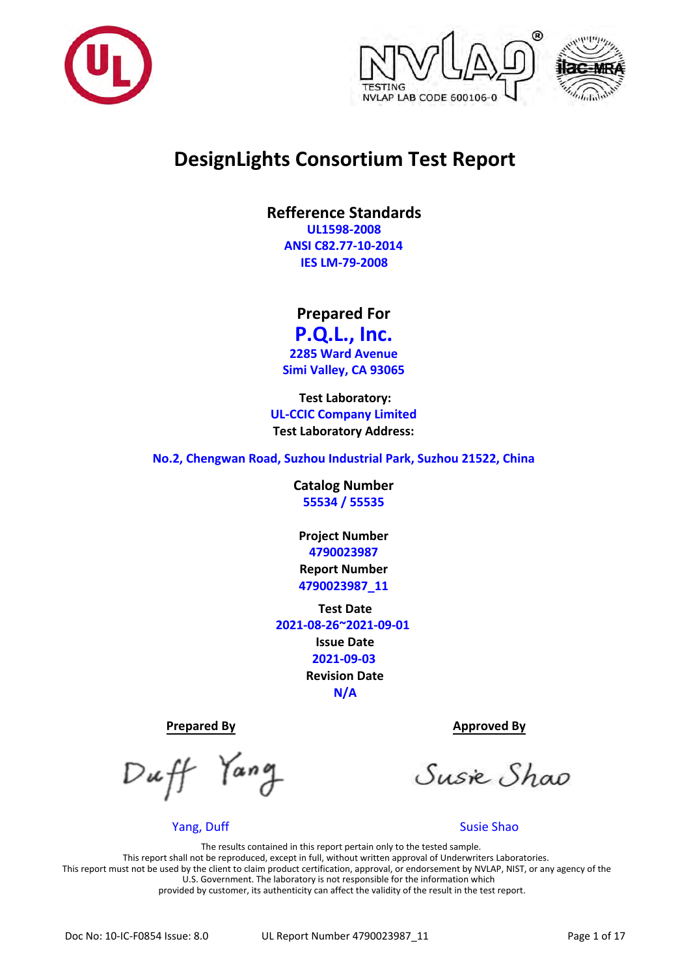





# **DesignLights Consortium Test Report**

**Refference Standards UL1598-2008 ANSI C82.77-10-2014 IES LM-79-2008**

**Prepared For** 

**P.Q.L., Inc. 2285 Ward Avenue**

**Simi Valley, CA 93065**

**Test Laboratory: UL-CCIC Company Limited Test Laboratory Address:**

**No.2, Chengwan Road, Suzhou Industrial Park, Suzhou 21522, China**

**Catalog Number 55534 / 55535**

**Project Number 4790023987 Report Number 4790023987\_11**

**Test Date 2021-08-26~2021-09-01 Issue Date 2021-09-03 Revision Date N/A**

Yang

Yang, Duff Susie Shao

**Prepared By Approved By Approved By** 

Susie Shao

The results contained in this report pertain only to the tested sample. This report shall not be reproduced, except in full, without written approval of Underwriters Laboratories. This report must not be used by the client to claim product certification, approval, or endorsement by NVLAP, NIST, or any agency of the U.S. Government. The laboratory is not responsible for the information which provided by customer, its authenticity can affect the validity of the result in the test report.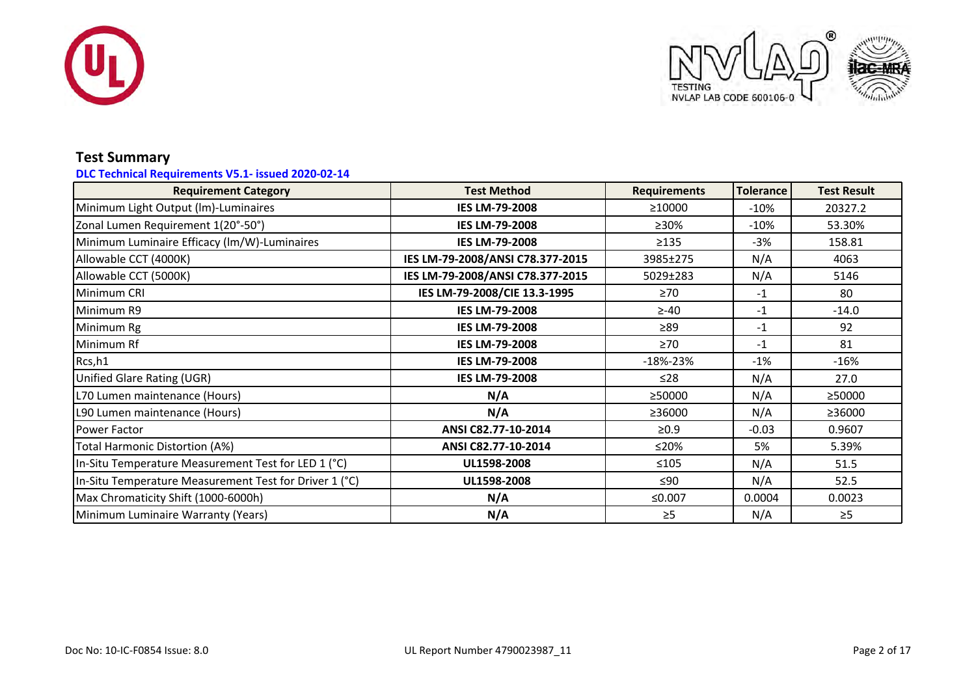



# **Test Summary**

### **DLC Technical Requirements V5.1- issued 2020-02-14**

| <b>Requirement Category</b>                            | <b>Test Method</b>               |              | <b>Tolerance</b> | <b>Test Result</b> |
|--------------------------------------------------------|----------------------------------|--------------|------------------|--------------------|
| Minimum Light Output (Im)-Luminaires                   | <b>IES LM-79-2008</b>            | ≥10000       | $-10%$           | 20327.2            |
| Zonal Lumen Requirement 1(20°-50°)                     | <b>IES LM-79-2008</b>            | ≥30%         | $-10%$           | 53.30%             |
| Minimum Luminaire Efficacy (lm/W)-Luminaires           | <b>IES LM-79-2008</b>            | >135         | $-3%$            | 158.81             |
| Allowable CCT (4000K)                                  | IES LM-79-2008/ANSI C78.377-2015 | 3985±275     | N/A              | 4063               |
| Allowable CCT (5000K)                                  | IES LM-79-2008/ANSI C78.377-2015 | 5029±283     | N/A              | 5146               |
| Minimum CRI                                            | IES LM-79-2008/CIE 13.3-1995     | $\geq 70$    | $-1$             | 80                 |
| Minimum R9                                             | <b>IES LM-79-2008</b>            | $\geq -40$   | $-1$             | $-14.0$            |
| Minimum Rg                                             | <b>IES LM-79-2008</b>            | $\geq 89$    | $-1$             | 92                 |
| Minimum Rf                                             | <b>IES LM-79-2008</b>            | $\geq 70$    | $-1$             | 81                 |
| Rcs,h1                                                 | <b>IES LM-79-2008</b>            | $-18% - 23%$ | $-1%$            | $-16%$             |
| Unified Glare Rating (UGR)                             | <b>IES LM-79-2008</b>            | ≤28          | N/A              | 27.0               |
| L70 Lumen maintenance (Hours)                          | N/A                              | ≥50000       | N/A              | ≥50000             |
| L90 Lumen maintenance (Hours)                          | N/A                              | ≥36000       | N/A              | ≥36000             |
| l Power Factor                                         | ANSI C82.77-10-2014              | $\geq 0.9$   | $-0.03$          | 0.9607             |
| Total Harmonic Distortion (A%)                         | ANSI C82.77-10-2014              | ≤20%         | 5%               | 5.39%              |
| In-Situ Temperature Measurement Test for LED 1 (°C)    | UL1598-2008                      | $≤105$       | N/A              | 51.5               |
| In-Situ Temperature Measurement Test for Driver 1 (°C) | UL1598-2008                      | $\leq 90$    | N/A              | 52.5               |
| Max Chromaticity Shift (1000-6000h)                    | N/A                              | ≤0.007       | 0.0004           | 0.0023             |
| Minimum Luminaire Warranty (Years)                     | N/A                              | $\geq 5$     | N/A              | $\geq$ 5           |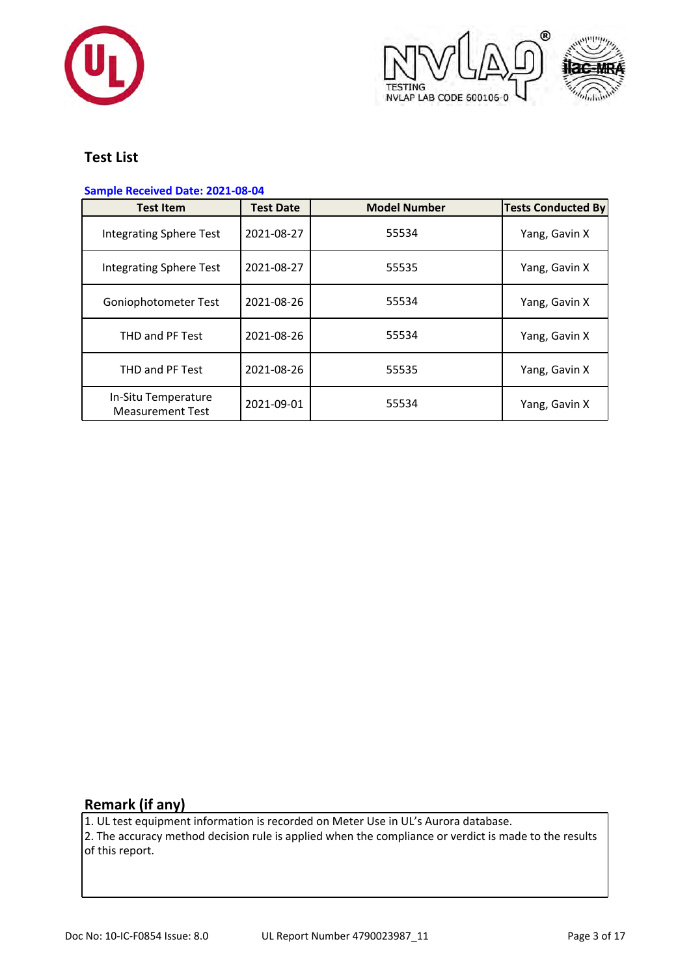





# **Test List**

### **Sample Received Date: 2021-08-04**

| <b>Test Item</b>                               | <b>Test Date</b> | <b>Model Number</b> | <b>Tests Conducted By</b> |
|------------------------------------------------|------------------|---------------------|---------------------------|
| <b>Integrating Sphere Test</b>                 | 2021-08-27       | 55534               | Yang, Gavin X             |
| <b>Integrating Sphere Test</b>                 | 2021-08-27       | 55535               | Yang, Gavin X             |
| Goniophotometer Test                           | 2021-08-26       | 55534               | Yang, Gavin X             |
| THD and PF Test                                | 2021-08-26       | 55534               | Yang, Gavin X             |
| THD and PF Test                                | 2021-08-26       | 55535               | Yang, Gavin X             |
| In-Situ Temperature<br><b>Measurement Test</b> | 2021-09-01       | 55534               | Yang, Gavin X             |

# **Remark (if any)**

1. UL test equipment information is recorded on Meter Use in UL's Aurora database.  $|2$ . The accuracy method decision rule is applied when the compliance or verdict is made to the results of this report.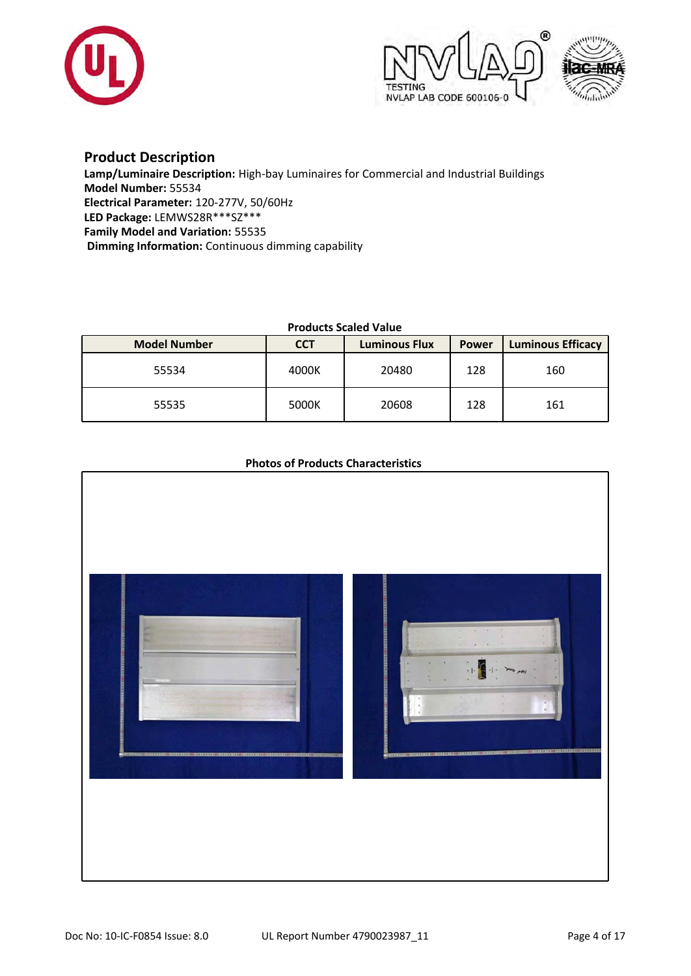





### **Product Description**

**Lamp/Luminaire Description:** High-bay Luminaires for Commercial and Industrial Buildings **Model Number:** 55534 **Electrical Parameter:** 120-277V, 50/60Hz **LED Package:** LEMWS28R\*\*\*SZ\*\*\* **Family Model and Variation:** 55535 **Dimming Information:** Continuous dimming capability

### **Products Scaled Value**

| <b>Model Number</b> | <b>CCT</b> | <b>Luminous Flux</b> | <b>Power</b> | <b>Luminous Efficacy</b> |
|---------------------|------------|----------------------|--------------|--------------------------|
| 55534               | 4000K      | 20480                | 128          | 160                      |
| 55535               | 5000K      | 20608                | 128          | 161                      |

### **Photos of Products Characteristics**

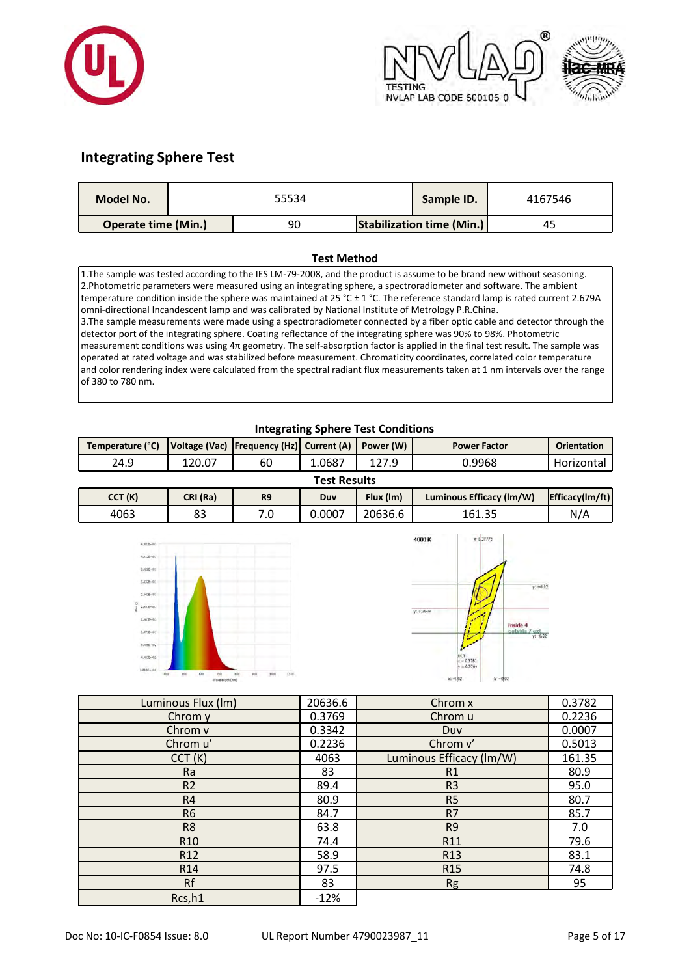





# **Integrating Sphere Test**

| <b>Model No.</b>           | 55534 |    | Sample ID. | 4167546                          |    |
|----------------------------|-------|----|------------|----------------------------------|----|
| <b>Operate time (Min.)</b> |       | 90 |            | <b>Stabilization time (Min.)</b> | 45 |

#### **Test Method**

1.The sample was tested according to the IES LM-79-2008, and the product is assume to be brand new without seasoning. 2.Photometric parameters were measured using an integrating sphere, a spectroradiometer and software. The ambient temperature condition inside the sphere was maintained at 25 °C ± 1 °C. The reference standard lamp is rated current 2.679A omni-directional Incandescent lamp and was calibrated by National Institute of Metrology P.R.China. 3.The sample measurements were made using a spectroradiometer connected by a fiber optic cable and detector through the detector port of the integrating sphere. Coating reflectance of the integrating sphere was 90% to 98%. Photometric measurement conditions was using 4π geometry. The self-absorption factor is applied in the final test result. The sample was operated at rated voltage and was stabilized before measurement. Chromaticity coordinates, correlated color temperature and color rendering index were calculated from the spectral radiant flux measurements taken at 1 nm intervals over the range of 380 to 780 nm.

### **Integrating Sphere Test Conditions**

| Temperature (°C)    |          | Voltage (Vac)   Frequency (Hz)   Current (A)   Power (W) |        |           | <b>Power Factor</b>      |                 |  |  |  |
|---------------------|----------|----------------------------------------------------------|--------|-----------|--------------------------|-----------------|--|--|--|
| 24.9                | 120.07   | 60                                                       | 1.0687 | 127.9     | 0.9968                   | Horizontal I    |  |  |  |
| <b>Test Results</b> |          |                                                          |        |           |                          |                 |  |  |  |
| CCT (K)             | CRI (Ra) | R <sub>9</sub>                                           | Duv    | Flux (Im) | Luminous Efficacy (Im/W) | Efficacy(Im/ft) |  |  |  |

|        | .              |                          |                  |         |                          |                 |  |  |
|--------|----------------|--------------------------|------------------|---------|--------------------------|-----------------|--|--|
| CCT(K) | CRI (Ra)<br>R9 |                          | Flux (Im)<br>Duv |         | Luminous Efficacy (Im/W) | Efficacy(Im/ft) |  |  |
| 4063   | ດາ<br>ບປ       | $\overline{\phantom{a}}$ | 0.0007           | 20636.6 | 161.35                   | N/A             |  |  |
|        |                |                          |                  |         |                          |                 |  |  |





| Luminous Flux (Im) | 20636.6 | Chrom x                  | 0.3782 |
|--------------------|---------|--------------------------|--------|
| Chrom y            | 0.3769  | Chrom u                  | 0.2236 |
| Chrom v            | 0.3342  | Duy                      | 0.0007 |
| Chrom u'           | 0.2236  | Chrom v'                 | 0.5013 |
| CCT(K)             | 4063    | Luminous Efficacy (lm/W) | 161.35 |
| Ra                 | 83      | R1                       | 80.9   |
| R <sub>2</sub>     | 89.4    | R <sub>3</sub>           | 95.0   |
| R <sub>4</sub>     | 80.9    | R <sub>5</sub>           | 80.7   |
| R <sub>6</sub>     | 84.7    | R7                       | 85.7   |
| R <sub>8</sub>     | 63.8    | R <sub>9</sub>           | 7.0    |
| R <sub>10</sub>    | 74.4    | R11                      | 79.6   |
| R <sub>12</sub>    | 58.9    | R <sub>13</sub>          | 83.1   |
| R <sub>14</sub>    | 97.5    | R <sub>15</sub>          | 74.8   |
| Rf                 | 83      | <b>Rg</b>                | 95     |
| Rcs, h1            | $-12%$  |                          |        |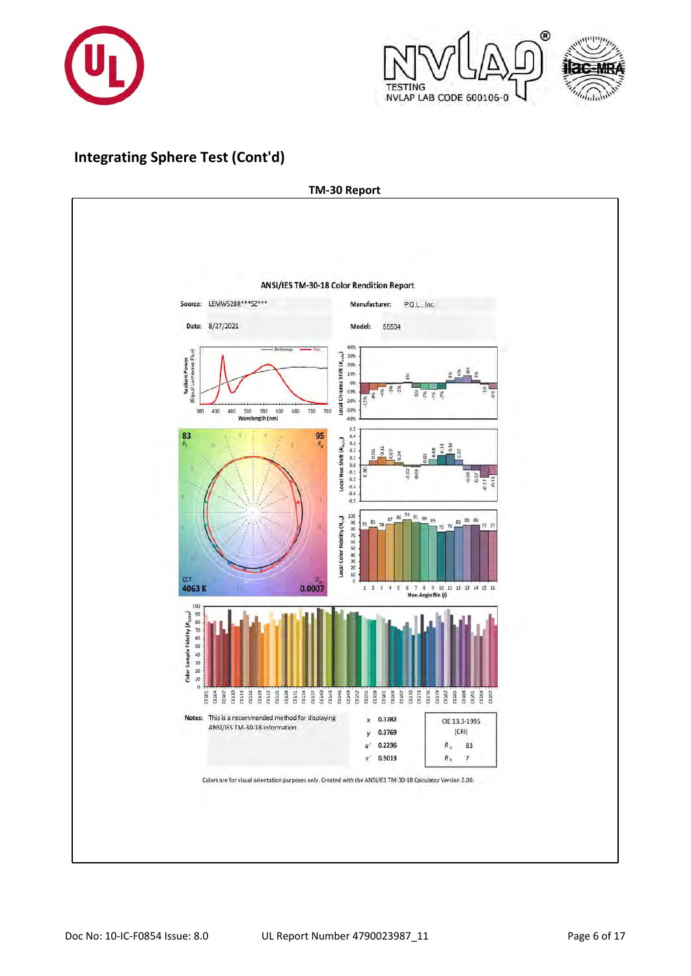



# **Integrating Sphere Test (Cont'd)**

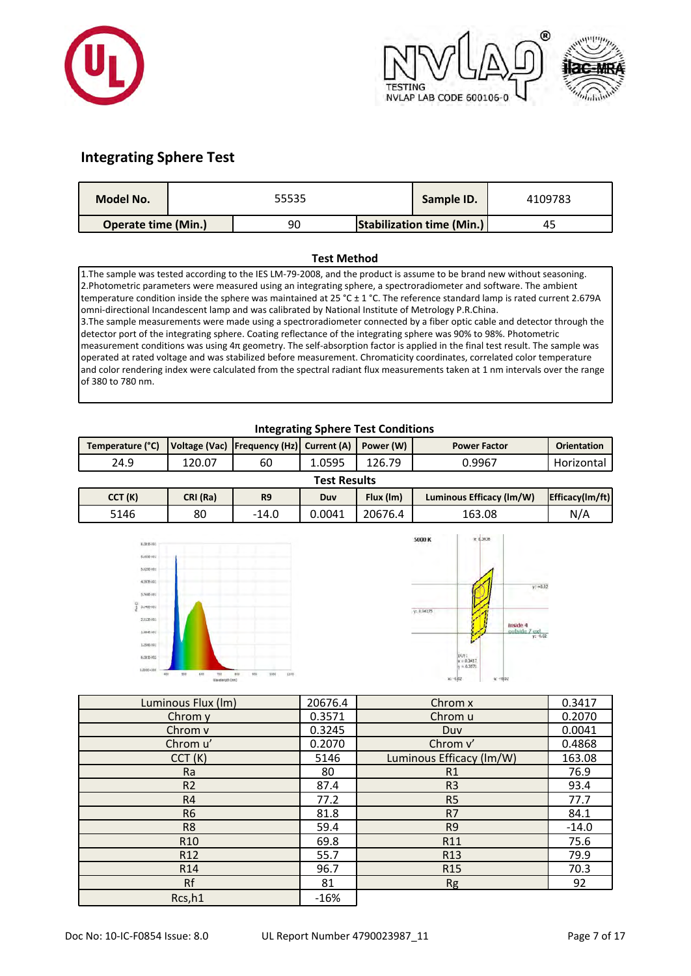





# **Integrating Sphere Test**

| <b>Model No.</b>           | 55535 |    |  | Sample ID.                       | 4109783 |
|----------------------------|-------|----|--|----------------------------------|---------|
| <b>Operate time (Min.)</b> |       | 90 |  | <b>Stabilization time (Min.)</b> | 45      |

#### **Test Method**

1.The sample was tested according to the IES LM-79-2008, and the product is assume to be brand new without seasoning. 2.Photometric parameters were measured using an integrating sphere, a spectroradiometer and software. The ambient temperature condition inside the sphere was maintained at 25 °C ± 1 °C. The reference standard lamp is rated current 2.679A omni-directional Incandescent lamp and was calibrated by National Institute of Metrology P.R.China. 3.The sample measurements were made using a spectroradiometer connected by a fiber optic cable and detector through the detector port of the integrating sphere. Coating reflectance of the integrating sphere was 90% to 98%. Photometric measurement conditions was using 4π geometry. The self-absorption factor is applied in the final test result. The sample was operated at rated voltage and was stabilized before measurement. Chromaticity coordinates, correlated color temperature and color rendering index were calculated from the spectral radiant flux measurements taken at 1 nm intervals over the range of 380 to 780 nm.

### **Integrating Sphere Test Conditions**

| Temperature (°C)    |        | Voltage (Vac)   Frequency (Hz)   Current (A)   Power (W) |        |        | <b>Power Factor</b> | <b>Orientation</b> |  |  |  |
|---------------------|--------|----------------------------------------------------------|--------|--------|---------------------|--------------------|--|--|--|
| 24.9                | 120.07 | 60                                                       | 1.0595 | 126.79 | 0.9967              | Horizontal         |  |  |  |
| <b>Test Results</b> |        |                                                          |        |        |                     |                    |  |  |  |

|        | .        |       |        |                                       |        |                 |  |  |  |
|--------|----------|-------|--------|---------------------------------------|--------|-----------------|--|--|--|
| CCT(K) | CRI (Ra) | R9    | Duv    | Flux (Im)<br>Luminous Efficacy (Im/W) |        | Efficacy(Im/ft) |  |  |  |
| 5146   | 80       | -14.0 | 0.0041 | 20676.4                               | 163.08 | N/A             |  |  |  |





| Luminous Flux (Im) | 20676.4 | Chrom x                  | 0.3417  |
|--------------------|---------|--------------------------|---------|
| Chrom y            | 0.3571  | Chrom u                  | 0.2070  |
| Chrom v            | 0.3245  | Duy                      | 0.0041  |
| Chrom u'           | 0.2070  | Chrom v'                 | 0.4868  |
| CCT(K)             | 5146    | Luminous Efficacy (lm/W) | 163.08  |
| Ra                 | 80      | R1                       | 76.9    |
| R <sub>2</sub>     | 87.4    | R <sub>3</sub>           | 93.4    |
| R4                 | 77.2    | R <sub>5</sub>           | 77.7    |
| R <sub>6</sub>     | 81.8    | R7                       | 84.1    |
| R <sub>8</sub>     | 59.4    | R <sub>9</sub>           | $-14.0$ |
| R <sub>10</sub>    | 69.8    | R <sub>11</sub>          | 75.6    |
| R <sub>12</sub>    | 55.7    | R <sub>13</sub>          | 79.9    |
| R <sub>14</sub>    | 96.7    | R <sub>15</sub>          | 70.3    |
| Rf                 | 81      | <b>Rg</b>                | 92      |
| Rcs,h1             | $-16%$  |                          |         |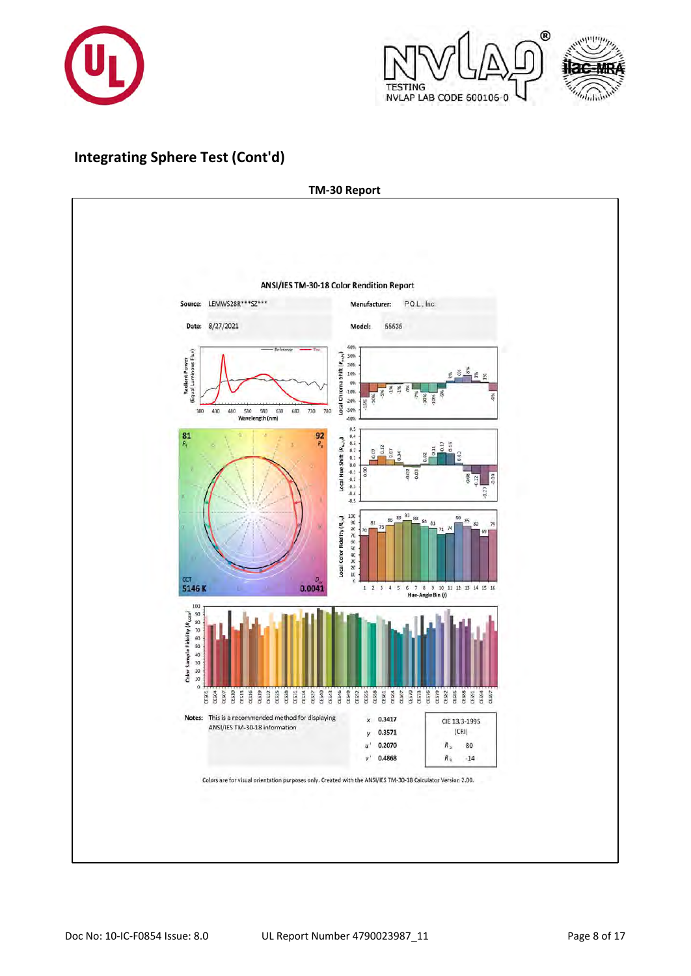



# **Integrating Sphere Test (Cont'd)**

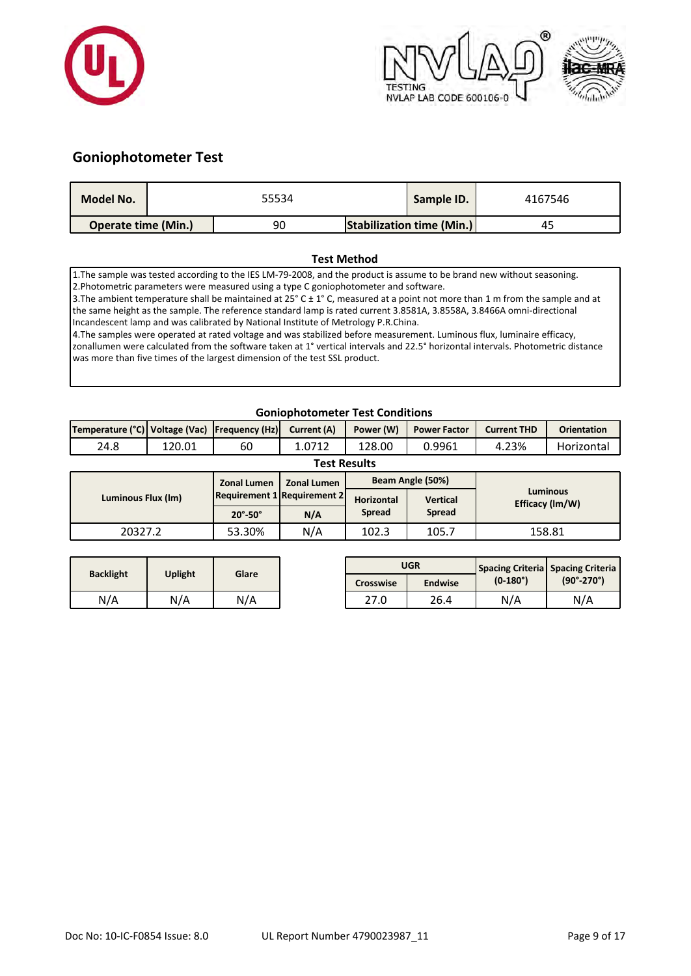



# **Goniophotometer Test**

| Model No.                  | 55534 |  | Sample ID.                       | 4167546 |
|----------------------------|-------|--|----------------------------------|---------|
| <b>Operate time (Min.)</b> | 90    |  | <b>Stabilization time (Min.)</b> | 45      |

#### **Test Method**

1.The sample was tested according to the IES LM-79-2008, and the product is assume to be brand new without seasoning. 2.Photometric parameters were measured using a type C goniophotometer and software.

3. The ambient temperature shall be maintained at 25° C ± 1° C, measured at a point not more than 1 m from the sample and at the same height as the sample. The reference standard lamp is rated current 3.8581A, 3.8558A, 3.8466A omni-directional Incandescent lamp and was calibrated by National Institute of Metrology P.R.China.

4.The samples were operated at rated voltage and was stabilized before measurement. Luminous flux, luminaire efficacy, zonallumen were calculated from the software taken at 1° vertical intervals and 22.5° horizontal intervals. Photometric distance was more than five times of the largest dimension of the test SSL product.

### **Goniophotometer Test Conditions**

| Temperature (°C)   Voltage (Vac)   Frequency (Hz)   Current (A) |                     |    |        | Power (W) | <b>Power Factor</b> | <b>Current THD</b> | <b>Orientation</b> |  |  |  |
|-----------------------------------------------------------------|---------------------|----|--------|-----------|---------------------|--------------------|--------------------|--|--|--|
| 24.8                                                            | 120.01              | 60 | 1.0712 | 128.00    | 0.9961              | 4.23%              | Horizontal         |  |  |  |
|                                                                 | <b>Test Results</b> |    |        |           |                     |                    |                    |  |  |  |

| 1 CSL INCSUILS     |                             |                    |                   |                  |                                    |  |  |  |  |  |
|--------------------|-----------------------------|--------------------|-------------------|------------------|------------------------------------|--|--|--|--|--|
|                    | <b>Zonal Lumen</b>          | <b>Zonal Lumen</b> |                   | Beam Angle (50%) | <b>Luminous</b><br>Efficacy (Im/W) |  |  |  |  |  |
| Luminous Flux (Im) | Requirement 1 Requirement 2 |                    | <b>Horizontal</b> | <b>Vertical</b>  |                                    |  |  |  |  |  |
|                    | $20^\circ - 50^\circ$       | N/A                | <b>Spread</b>     | <b>Spread</b>    |                                    |  |  |  |  |  |
| 20327.2            | 53.30%                      | N/A                | 102.3             | 105.7            | 158.81                             |  |  |  |  |  |

|                  |         | Glare |                  | <b>UGR</b>     |                 | <b>Spacing Criteria Spacing Criteria</b><br>$(90^{\circ} - 270^{\circ})$ |  |
|------------------|---------|-------|------------------|----------------|-----------------|--------------------------------------------------------------------------|--|
| <b>Backlight</b> | Uplight |       | <b>Crosswise</b> | <b>Endwise</b> | $(0-180^\circ)$ |                                                                          |  |
| N/A              | N/A     | N/A   | 27.0             | 26.4           | N/A             | N/A                                                                      |  |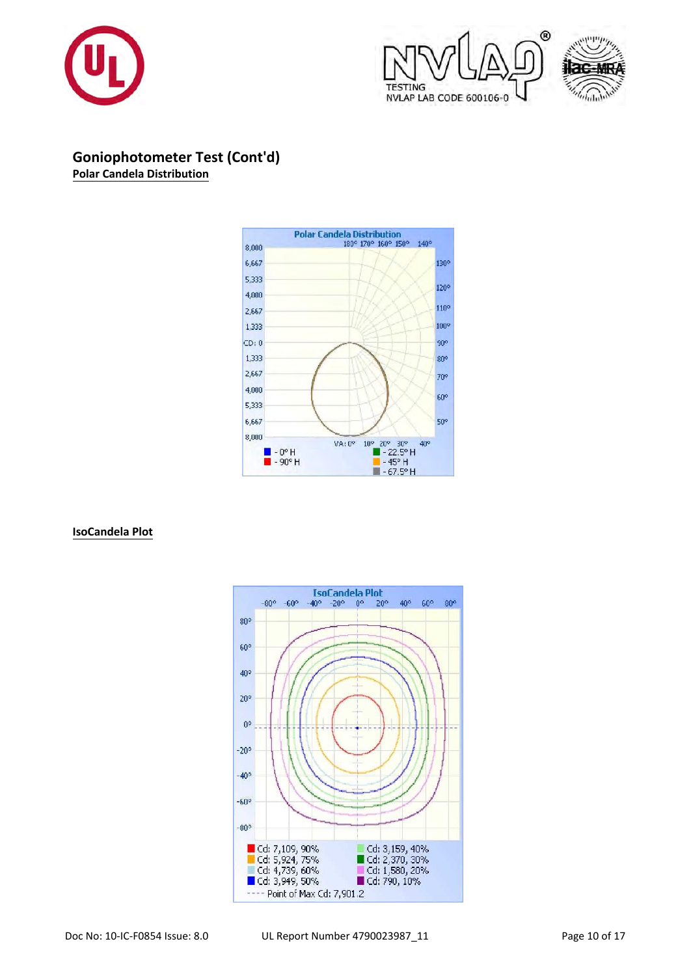



**Goniophotometer Test (Cont'd) Polar Candela Distribution**



**IsoCandela Plot**

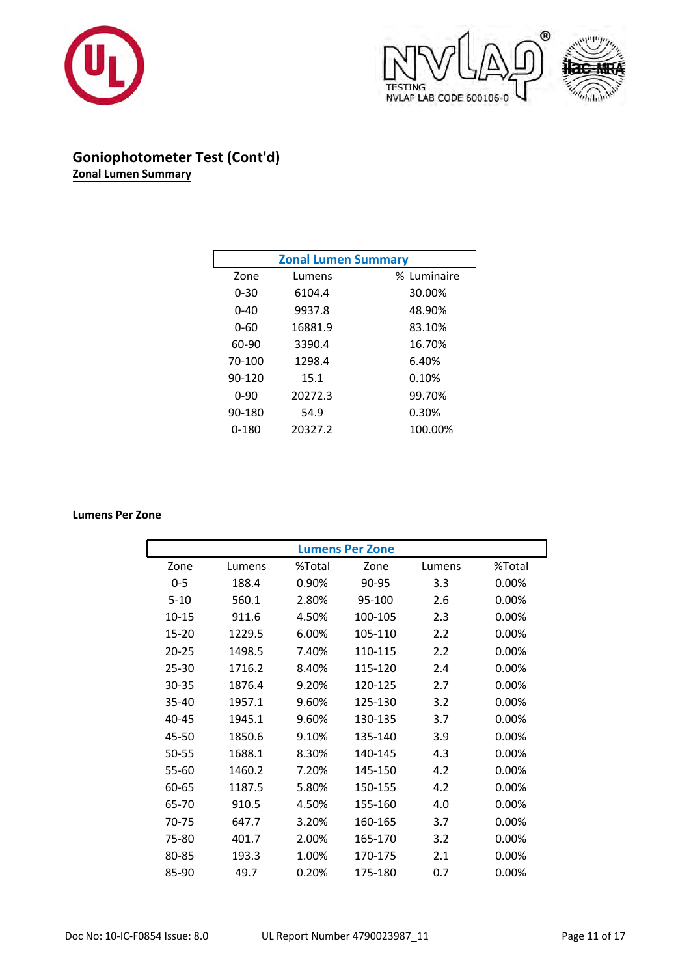





# **Goniophotometer Test (Cont'd) Zonal Lumen Summary**

| <b>Zonal Lumen Summary</b> |         |             |  |  |  |  |  |
|----------------------------|---------|-------------|--|--|--|--|--|
| Zone                       | Lumens  | % Luminaire |  |  |  |  |  |
| $0 - 30$                   | 6104.4  | 30.00%      |  |  |  |  |  |
| $0 - 40$                   | 9937.8  | 48.90%      |  |  |  |  |  |
| 0-60                       | 16881.9 | 83.10%      |  |  |  |  |  |
| 60-90                      | 3390.4  | 16.70%      |  |  |  |  |  |
| 70-100                     | 1298.4  | 6.40%       |  |  |  |  |  |
| 90-120                     | 15.1    | 0.10%       |  |  |  |  |  |
| $0 - 90$                   | 20272.3 | 99.70%      |  |  |  |  |  |
| 90-180                     | 54.9    | 0.30%       |  |  |  |  |  |
| 0-180                      | 20327.2 | 100.00%     |  |  |  |  |  |

### **Lumens Per Zone**

|           | <b>Lumens Per Zone</b> |        |         |        |          |  |  |  |  |  |
|-----------|------------------------|--------|---------|--------|----------|--|--|--|--|--|
| Zone      | Lumens                 | %Total | Zone    | Lumens | %Total   |  |  |  |  |  |
| $0 - 5$   | 188.4                  | 0.90%  | 90-95   | 3.3    | $0.00\%$ |  |  |  |  |  |
| $5-10$    | 560.1                  | 2.80%  | 95-100  | 2.6    | $0.00\%$ |  |  |  |  |  |
| $10 - 15$ | 911.6                  | 4.50%  | 100-105 | 2.3    | $0.00\%$ |  |  |  |  |  |
| $15 - 20$ | 1229.5                 | 6.00%  | 105-110 | 2.2    | $0.00\%$ |  |  |  |  |  |
| $20 - 25$ | 1498.5                 | 7.40%  | 110-115 | 2.2    | $0.00\%$ |  |  |  |  |  |
| 25-30     | 1716.2                 | 8.40%  | 115-120 | 2.4    | $0.00\%$ |  |  |  |  |  |
| 30-35     | 1876.4                 | 9.20%  | 120-125 | 2.7    | $0.00\%$ |  |  |  |  |  |
| $35 - 40$ | 1957.1                 | 9.60%  | 125-130 | 3.2    | $0.00\%$ |  |  |  |  |  |
| $40 - 45$ | 1945.1                 | 9.60%  | 130-135 | 3.7    | $0.00\%$ |  |  |  |  |  |
| 45-50     | 1850.6                 | 9.10%  | 135-140 | 3.9    | $0.00\%$ |  |  |  |  |  |
| 50-55     | 1688.1                 | 8.30%  | 140-145 | 4.3    | 0.00%    |  |  |  |  |  |
| 55-60     | 1460.2                 | 7.20%  | 145-150 | 4.2    | $0.00\%$ |  |  |  |  |  |
| 60-65     | 1187.5                 | 5.80%  | 150-155 | 4.2    | $0.00\%$ |  |  |  |  |  |
| 65-70     | 910.5                  | 4.50%  | 155-160 | 4.0    | $0.00\%$ |  |  |  |  |  |
| 70-75     | 647.7                  | 3.20%  | 160-165 | 3.7    | $0.00\%$ |  |  |  |  |  |
| 75-80     | 401.7                  | 2.00%  | 165-170 | 3.2    | $0.00\%$ |  |  |  |  |  |
| 80-85     | 193.3                  | 1.00%  | 170-175 | 2.1    | $0.00\%$ |  |  |  |  |  |
| 85-90     | 49.7                   | 0.20%  | 175-180 | 0.7    | $0.00\%$ |  |  |  |  |  |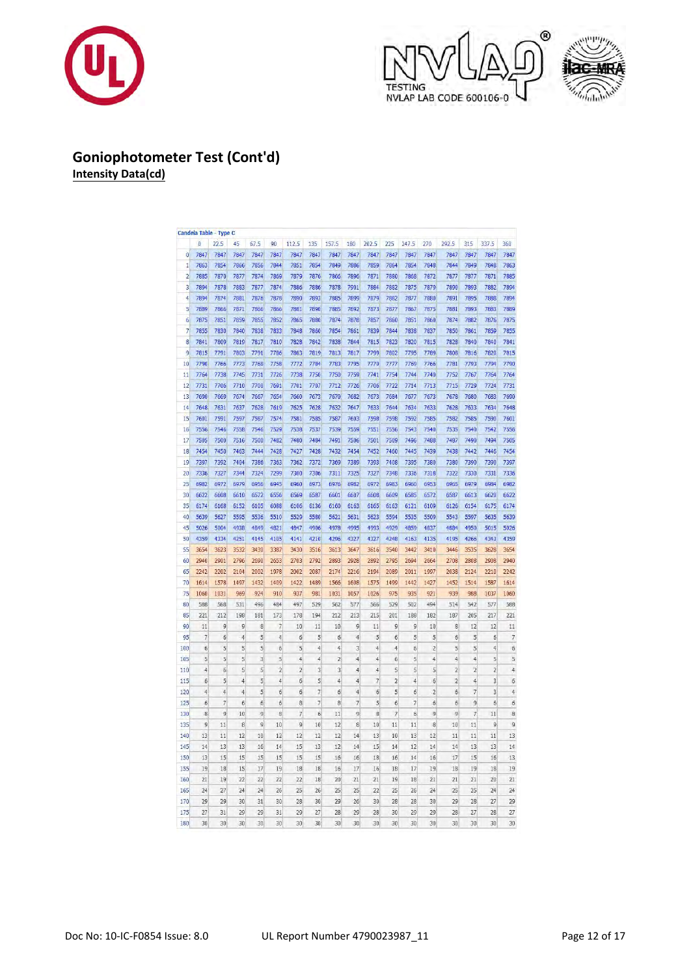





### **Goniophotometer Test (Cont'd) Intensity Data(cd)**

|                |                 | Candela Table - Type C |                |                |                          |                |                |                  |                |                |                          |                |                       |                |                 |                |                          |
|----------------|-----------------|------------------------|----------------|----------------|--------------------------|----------------|----------------|------------------|----------------|----------------|--------------------------|----------------|-----------------------|----------------|-----------------|----------------|--------------------------|
|                | $\bf{0}$        | 22.5                   | 45             | 67.5           | 90                       | 112.5          | 135            | 157.5            | 180            | 202.5          | 225                      | 247.5          | 270                   | 292.5          | 315             | 337.5          | 360                      |
| $\bf 0$        | 7847            | 7847                   | 7847           | 7847           | 7847                     | 7847           | 7847           | 7847             | 7847           | 7847           | 7847                     | 7847           | 7847                  | 7847           | 7847            | 7847           | 7847                     |
| $\mathbf{1}$   | 7863            | 7854                   | 7866           | 7856           | 7844                     | 7851           | 7854           | 7849             | 7886           | 7859           | 7864                     | 7854           | 7848                  | 7844           | 7849            | 7848           | 7863                     |
| $\overline{2}$ | 7885            | 7870                   | 7877           | 7874           | 7869                     | 7879           | 7876           | 7866             | 7896           | 7871           | 7880                     | 7868           | 7872                  | 7877           | 7877            | 7871           | 7885                     |
| 3              | 7894            | 7878                   | 7883           | 7877           | 7874                     | 7886           | 7886           | 7878             | 7901           | 7884           | 7882                     | 7875           | 7879                  | 7890           | 7893            | 7882           | 7894                     |
| $\overline{4}$ | 7894            | 7874                   | 7881           | 7876           | 7878                     | 7890           | 7893           | 7885             | 7899           | 7879           | 7882                     | 7877           | 7880                  | 7891           | 7895            | 7888           | 7894                     |
| 5              | 7889            | 7866                   | 7871           | 7866           | 7866                     | 7881           | 7890           | 7885             | 7892           | 7873           | 7877                     | 7867           | 7875                  | 7881           | 7893            | 7883           | 7889                     |
| $\overline{6}$ | 7875            | 7851                   | 7859           | 7855           | 7852                     | 7865           | 7880           | 7874             | 7878           | 7857           | 7860                     | 7851           | 7860                  | 7874           | 7882            | 7876           | 7875                     |
| $\overline{7}$ | 7855            | 7830                   | 7840           | 7838           | 7833                     | 7848           | 7860           | 7854             | 7861           | 7839           | 7844                     | 7838           | 7837                  | 7850           | 7861            | 7859           | 7855                     |
| 8              | 7841            | 7809                   | 7819           | 7817           | 7810                     | 7828           | 7842           | 7838             | 7844           | 7815           | 7823                     | 7820           | 7815                  | 7828           | 7840            | 7840           | 7841                     |
| 9              | 7815            | 7791                   | 7803           | 7791           | 7786                     | 7803           | 7819           | 7813             | 7817           | 7799           | 7802                     | 7795           | 7789                  | 7808           | 7816            | 7820           | 7815                     |
| 10             | 7790            | 7766                   | 7773           | 7768           | 7758                     | 7772           | 7784           | 7783             | 7795           | 7770           | 7777                     | 7769           | 7766                  | 7781           | 7793            | 7794           | 7790                     |
| 11             | 7764            | 7738                   | 7745           | 7731           | 7726                     | 7738           | 7750           | 7750             | 7759           | 7741           | 7754                     | 7744           | 7740                  | 7752           | 7767            | 7764           | 7764                     |
| 12             | 7731            | 7706                   | 7710           | 7700           | 7691                     | 7701           | 7707           | 7712             | 7726           | 7706           | 7722                     | 7714           | 7713                  | 7715           | 7729            | 7724           | 7731                     |
| 13             | 7690            | 7669                   | 7674           | 7667           | 7654                     | 7660           | 7673           | 7670             | 7682           | 7673           | 7684                     | 7677           | 7673                  | 7678           | 7680            | 7683           | 7690                     |
| 14             | 7648            | 7631                   | 7637           | 7628           | 7619                     | 7625           | 7628           | 7632             | 7647           | 7633           | 7644                     | 7634           | 7633                  | 7628           | 7633            | 7634           | 7648                     |
| 15             | 7601            | 7591                   | 7597           | 7587           | 7574                     | 7581           | 7585           | 7587             | 7603           | 7598           | 7598                     | 7592           | 7585                  | 7582           | 7585            | 7590           | 7601                     |
| 16             | 7556            | 7546                   | 7558           | 7546           | 7529                     | 7538           | 7537           | 7539             | 7559           | 7551           | 7556                     | 7543           | 7540                  | 7535           | 7540            | 7542           | 7556                     |
|                | 7505            | 7500                   | 7516           | 7500           | 7482                     | 7480           | 7484           | 7491             | 7506           | 7501           | 7509                     | 7496           | 7488                  | 7487           | 7490            | 7494           | 7505                     |
| 17             |                 |                        |                |                |                          |                |                |                  |                |                |                          |                |                       |                |                 |                |                          |
| 18             | 7454            | 7450                   | 7463           | 7444           | 7428                     | 7427           | 7428           | 7432             | 7454           | 7452           | 7460                     | 7445           | 7439                  | 7438           | 7442            | 7446           | 7454                     |
| 19             | 7397            | 7392                   | 7404           | 7386           | 7363                     | 7362           | 7372           | 7369             | 7389           | 7393           | 7408                     | 7395           | 7380                  | 7380           | 7390            | 7390           | 7397                     |
| 20             | 7336            | 7327                   | 7344           | 7324           | 7299                     | 7300           | 7306           | 7311             | 7325           | 7327           | 7348                     | 7336           | 7318                  | 7322           | 7330            | 7331           | 7336                     |
| 25             | 6982            | 6972                   | 6979           | 6956           | 6945                     | 6960           | 6973           | 6976             | 6982           | 6972           | 6983                     | 6960           | 6953                  | 6965           | 6979            | 6984           | 6982                     |
| 30             | 6622            | 6608                   | 6610           | 6572           | 6556                     | 6569           | 6587           | 6601             | 6607           | 6608           | 6609                     | 6585           | 6572                  | 6587           | 6613            | 6620           | 6622                     |
| 35             | 6174            | 6168                   | 6152           | 6105           | 6088                     | 6106           | 6136           | 6160             | 6163           | 6165           | 6163                     | 6121           | 6109                  | 6126           | 6154            | 6175           | 6174                     |
| 40             | 5639            | 5627                   | 5595           | 5536           | 5510                     | 5529           | 5580           | 5621             | 5631           | 5623           | 5594                     | 5535           | 5509                  | 5543           | 5597            | 5635           | 5639                     |
| 45             | 5026            | 5004                   | 4938           | 4849           | 4821                     | 4847           | 4906           | 4978             | 4995           | 4993           | 4929                     | 4859           | 4837                  | 4884           | 4950            | 5015           | 5026                     |
| 50             | 4359            | 4334                   | 4251           | 4145           | 4105                     | 4141           | 4210           | 4296             | 4327           | 4327           | 4248                     | 4163           | 4135                  | 4195           | 4266            | 4343           | 4359                     |
| 55             | 3654            | 3623                   | 3532           | 3430           | 3387                     | 3430           | 3516           | 3613             | 3647           | 3616           | 3540                     | 3442           | 3410                  | 3446           | 3535            | 3628           | 3654                     |
| 60             | 2940            | 2901                   | 2796           | 2690           | 2653                     | 2703           | 2792           | 2893             | 2928           | 2892           | 2795                     | 2694           | 2664                  | 2708           | 2808            | 2908           | 2940                     |
| 65             | 2242            | 2202                   | 2104           | 2002           | 1978                     | 2002           | 2087           | 2174             | 2216           | 2194           | 2089                     | 2011           | 1997                  | 2038           | 2124            | 2210           | 2242                     |
| 70             | 1614            | 1578                   | 1497           | 1432           | 1409                     | 1422           | 1489           | 1566             | 1608           | 1575           | 1499                     | 1442           | 1427                  | 1452           | 1514            | 1587           | 1614                     |
| 75             | 1060            | 1031                   | 969            | 924            | 910                      | 937            | 981            | 1031             | 1057           | 1026           | 975                      | 935            | 921                   | 939            | 988             | 1037           | 1060                     |
| 80             | 588             | 568                    | 531            | 496            | 484                      | 497            | 529            | 562              | 577            | 566            | 529                      | 502            | 494                   | 514            | 542             | 577            | 588                      |
| 85             | 221             | 212                    | 198            | 181            | 173                      | 178            | 194            | 212              | 213            | 215            | 201                      | 188            | 182                   | 187            | 205             | 217            | 221                      |
| 90             | 11              | 9                      | 9              | 8              | $\overline{\mathcal{L}}$ | 10             | 11             | 10               | 9              | 11             | 9                        | 9              | 10                    | 8              | 12              | 12             | 11                       |
| 95             | $\overline{7}$  | 6                      | $\overline{4}$ | 5              | 4                        | 6              | 5              | $\boldsymbol{6}$ | $\overline{4}$ | 5              | 6                        | 5              | 5                     | $\sqrt{6}$     | 5               | 6              | $\overline{\phantom{a}}$ |
| 100            | $\ddot{\sigma}$ | 5                      | 5              | 5              | $\ddot{\sigma}$          | 5              | $\ddot{4}$     | $\ddot{4}$       | 3              | 4              | 4                        | 6              | $\overline{2}$        | 5              | 5               | $\ddot{4}$     | 6                        |
| 105            | 5               | 5                      | 5              | 3              | 5                        | $\ddot{4}$     | 4              | $\overline{c}$   | 4              | 4              | 6                        | 5              | $\overline{4}$        | $\ddot{4}$     | $\ddot{4}$      | 5              | 5                        |
| 110            | $\ddot{4}$      | $\ddot{\mathbf{5}}$    | 5              | 5              | $\overline{2}$           | $\overline{2}$ | 3              | 3                | $\ddot{4}$     | 4              | 5                        | 5              | 5                     | $\overline{2}$ | $\overline{2}$  | $\overline{c}$ | $\ddot{4}$               |
| 115            | 6               | 5                      | 4              | 5              | $\ddot{4}$               | б              | 5              | $\ddot{4}$       | $\overline{4}$ | $\overline{7}$ | $\overline{2}$           | $\overline{4}$ | 6                     | $\overline{c}$ | $\overline{4}$  | 3              | б                        |
| 120            | 4               | $\overline{4}$         | $\overline{4}$ | 5              | б                        | 6              | $\overline{7}$ | 6                | $\overline{4}$ | 6              | 5                        | 6              | $\overline{2}$        | 6              | $\overline{7}$  | $\overline{3}$ | $\ddot{4}$               |
| 125            | 6               | $\overline{7}$         | 6              | 6              | 6                        | 8              | $\overline{7}$ | 8                | $\overline{7}$ | 5              | 6                        | $\overline{7}$ | $\ddot{\mathfrak{b}}$ | 6              | 9               | 6              | 6                        |
| 130            | 8               | 9                      | 10             | 9              | 8                        | 7              | $\overline{6}$ | 11               | 9              | 8              | $\overline{\phantom{a}}$ | 6              | 9                     | 9              | $\overline{7}$  | 11             | 8                        |
| 135            | 9               | 11                     | 8              | $\overline{9}$ | 10                       | 9              | 10             | 12               | 8              | 10             | 11                       | 11             | 8                     | 10             | 11              | 9              | 9                        |
| 140            | 13              | 11                     | 12             | 10             | 12                       | 12             | 12             | 12               | 14             | 13             | 10                       | 13             | 12                    | 11             | $\overline{11}$ | 11             | 13                       |
| 145            | 14              | 13                     | 13             | 16             | 14                       | 15             | 13             | 12               | 14             | 15             | 14                       | 12             | 14                    | 14             | 13              | 13             | 14                       |
| 150            | 13              | 15                     | 15             | 15             | 15                       | 15             | 15             | 16               | 16             | 18             | 16                       | 14             | 16                    | 17             | 15              | 16             | 13                       |
| 155            | 19              | 18                     | 15             | 17             | 19                       | 18             | 18             | 16               | 17             | 16             | 18                       | 17             | 19                    | 18             | 19              | 18             | 19                       |
|                |                 |                        |                |                |                          |                |                |                  |                |                |                          |                |                       |                |                 |                |                          |
| 160            | 21              | 19                     | 22             | 22             | 22                       | 22             | 18             | 20               | 21             | 21             | 19                       | 18             | 21                    | 21             | 21              | 20             | 21                       |
| 165            | 24              | 27                     | 24             | 24             | 26                       | 25             | 26             | 25               | 25             | 22             | 25                       | 26             | 24                    | 25             | 25              | 24             | 24                       |
| 170            | 29              | 29                     | 30             | 31             | 30                       | 28             | 30             | 29               | 26             | 30             | 28                       | 28             | 30                    | 29             | 28              | 27             | 29                       |
| 175            | 27              | 31                     | 29             | 29             | 31                       | 29             | 27             | 28               | 29             | 28             | 30                       | 29             | 29                    | 28             | 27              | 28             | 27                       |
| 180            | 30              | 30                     | 30             | 30             | 30                       | 30             | 30             | 30               | 30             | 30             | 30                       | 30             | 30                    | 30             | 30              | 30             | 30                       |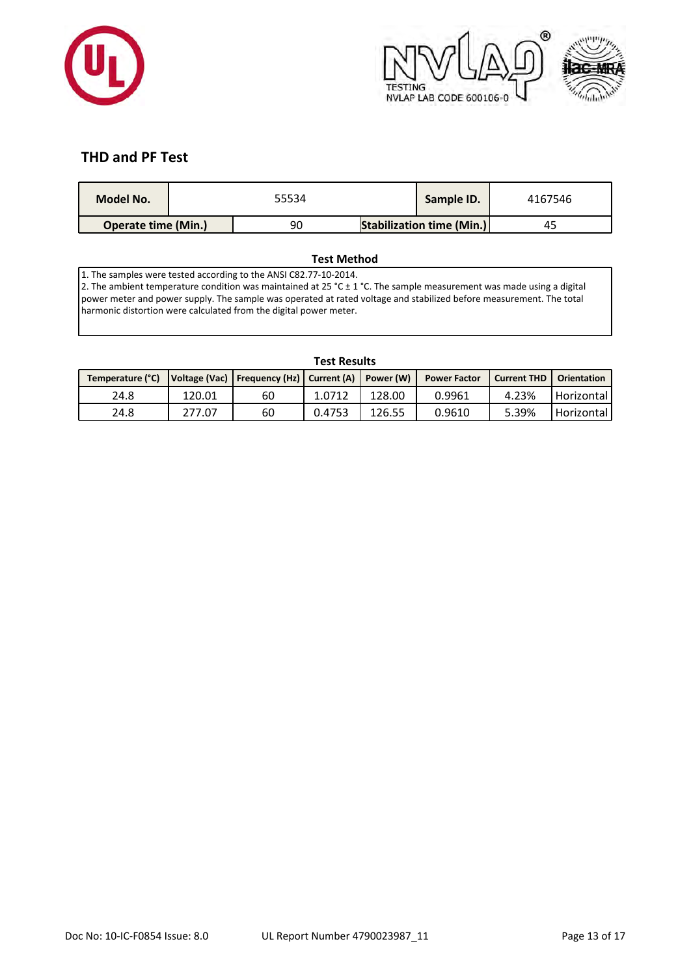



# **THD and PF Test**

| Model No.                  |  | 55534 | Sample ID.                       | 4167546 |
|----------------------------|--|-------|----------------------------------|---------|
| <b>Operate time (Min.)</b> |  | 90    | <b>Stabilization time (Min.)</b> | 45      |

### **Test Method**

1. The samples were tested according to the ANSI C82.77-10-2014.

2. The ambient temperature condition was maintained at 25 °C  $\pm$  1 °C. The sample measurement was made using a digital power meter and power supply. The sample was operated at rated voltage and stabilized before measurement. The total harmonic distortion were calculated from the digital power meter.

# **Temperature (°C) Voltage (Vac) Frequency (Hz) Current (A) Power (W) Power Factor Current THD Orientation** 24.8 120.01 60 1.0712 128.00 0.9961 4.23% Horizontal 24.8 | 277.07 | 60 | 0.4753 | 126.55 | 0.9610 | 5.39% |Horizontal

#### **Test Results**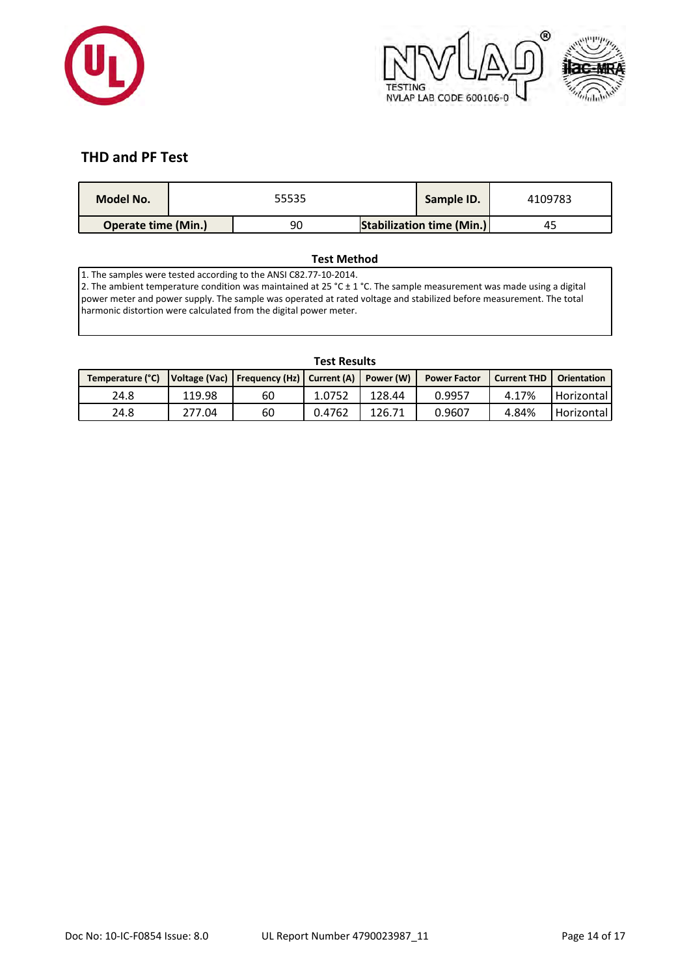



# **THD and PF Test**

| Model No.                  |  | 55535 | Sample ID.                       | 4109783 |
|----------------------------|--|-------|----------------------------------|---------|
| <b>Operate time (Min.)</b> |  | 90    | <b>Stabilization time (Min.)</b> | 45      |

### **Test Method**

1. The samples were tested according to the ANSI C82.77-10-2014.

2. The ambient temperature condition was maintained at 25 °C  $\pm$  1 °C. The sample measurement was made using a digital power meter and power supply. The sample was operated at rated voltage and stabilized before measurement. The total harmonic distortion were calculated from the digital power meter.

# **Temperature (°C) Voltage (Vac) Frequency (Hz) Current (A) Power (W) Power Factor Current THD Orientation** 24.8 | 119.98 | 60 | 1.0752 | 128.44 | 0.9957 | 4.17% |Horizontal 24.8 | 277.04 | 60 | 0.4762 | 126.71 | 0.9607 | 4.84% |Horizontal

#### **Test Results**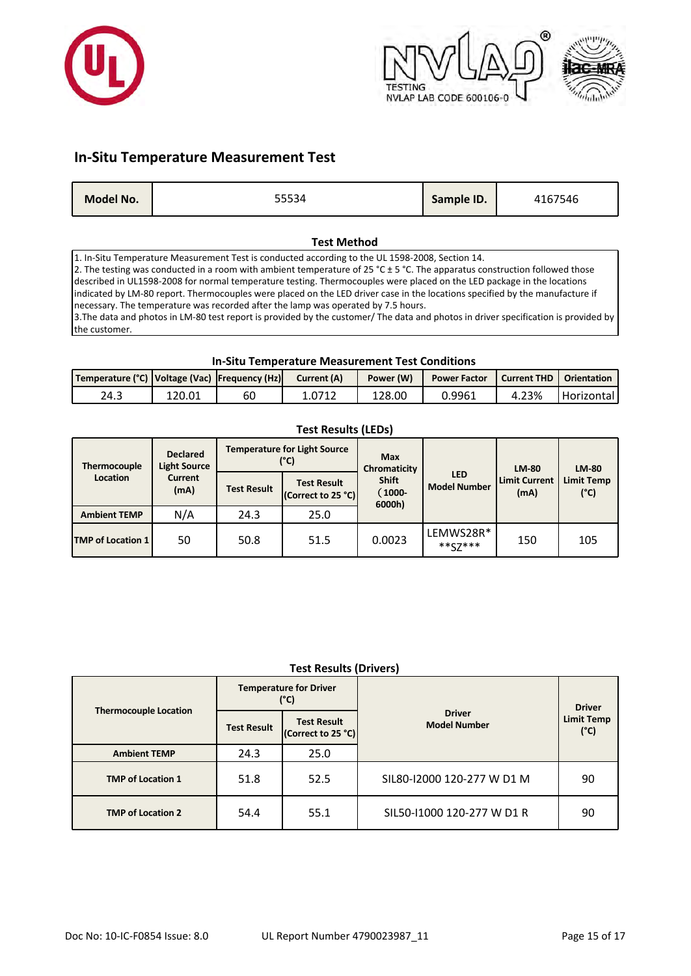



### **In-Situ Temperature Measurement Test**

| Sample ID.<br>Model No.<br>4167546 |
|------------------------------------|
|------------------------------------|

#### **Test Method**

1. In-Situ Temperature Measurement Test is conducted according to the UL 1598-2008, Section 14. 2. The testing was conducted in a room with ambient temperature of 25 °C  $\pm$  5 °C. The apparatus construction followed those described in UL1598-2008 for normal temperature testing. Thermocouples were placed on the LED package in the locations indicated by LM-80 report. Thermocouples were placed on the LED driver case in the locations specified by the manufacture if necessary. The temperature was recorded after the lamp was operated by 7.5 hours. 3.The data and photos in LM-80 test report is provided by the customer/ The data and photos in driver specification is provided by the customer.

#### **In-Situ Temperature Measurement Test Conditions**

| Temperature (°C)   Voltage (Vac)   Frequency (Hz) |        |    | Current (A) | Power (W) | <b>Power Factor</b> | Current THD   Orientation |            |
|---------------------------------------------------|--------|----|-------------|-----------|---------------------|---------------------------|------------|
| 24.3                                              | 120.01 | 60 | 1.0712      | 128.00    | 0.9961              | 4.23%                     | Horizontal |

| . <i>. .</i>             |                                        |                    |                                             |                                 |                                   |                              |                           |  |  |  |  |
|--------------------------|----------------------------------------|--------------------|---------------------------------------------|---------------------------------|-----------------------------------|------------------------------|---------------------------|--|--|--|--|
| Thermocouple             | <b>Declared</b><br><b>Light Source</b> |                    | <b>Temperature for Light Source</b><br>(°C) | <b>Max</b><br>Chromaticity      |                                   | <b>LM-80</b>                 | <b>LM-80</b>              |  |  |  |  |
| <b>Location</b>          | <b>Current</b><br>(mA)                 | <b>Test Result</b> | <b>Test Result</b><br>(Correct to 25 °C)    | <b>Shift</b><br>1000-<br>6000h) | <b>LED</b><br><b>Model Number</b> | <b>Limit Current</b><br>(mA) | <b>Limit Temp</b><br>(°C) |  |  |  |  |
| <b>Ambient TEMP</b>      | N/A                                    | 24.3               | 25.0                                        |                                 |                                   |                              |                           |  |  |  |  |
| <b>TMP of Location 1</b> | 50                                     | 50.8               | 51.5                                        | 0.0023                          | LEMWS28R*<br>$***Z7***$           | 150                          | 105                       |  |  |  |  |

### **Test Results (LEDs)**

### **Test Results (Drivers)**

|                              |                    | <b>Temperature for Driver</b><br>(°C)    |                                      | <b>Driver</b> |
|------------------------------|--------------------|------------------------------------------|--------------------------------------|---------------|
| <b>Thermocouple Location</b> | <b>Test Result</b> | <b>Test Result</b><br>(Correct to 25 °C) | <b>Driver</b><br><b>Model Number</b> |               |
| <b>Ambient TEMP</b>          | 24.3               | 25.0                                     |                                      |               |
| <b>TMP of Location 1</b>     | 51.8               | 52.5                                     | SIL80-12000 120-277 W D1 M           | 90            |
| <b>TMP of Location 2</b>     | 54.4               | 55.1                                     | SIL50-11000 120-277 W D1 R           | 90            |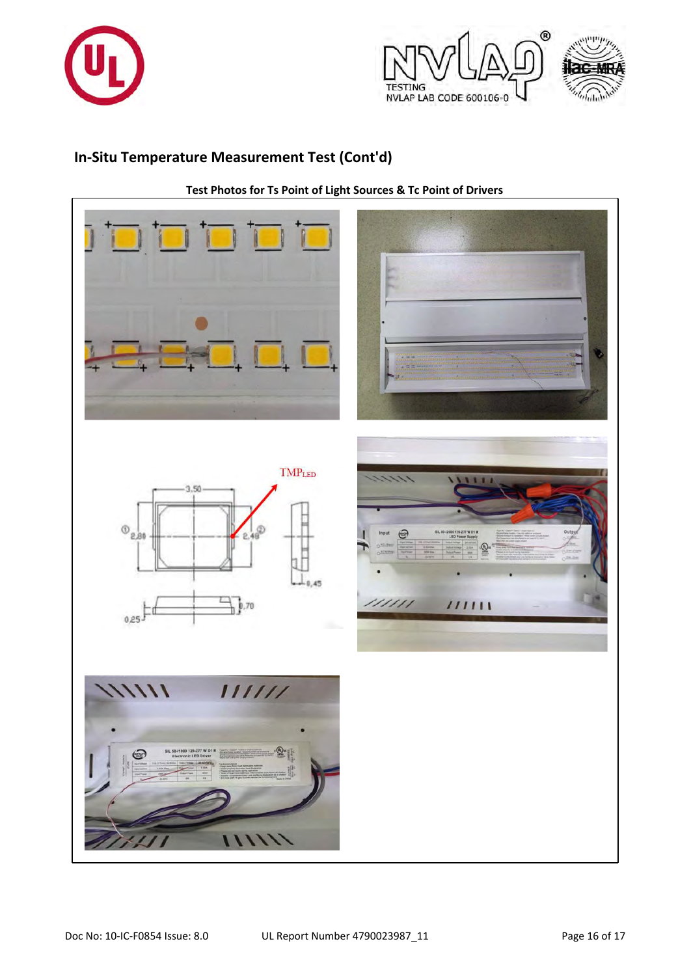



# **In-Situ Temperature Measurement Test (Cont'd)**



**Test Photos for Ts Point of Light Sources & Tc Point of Drivers**